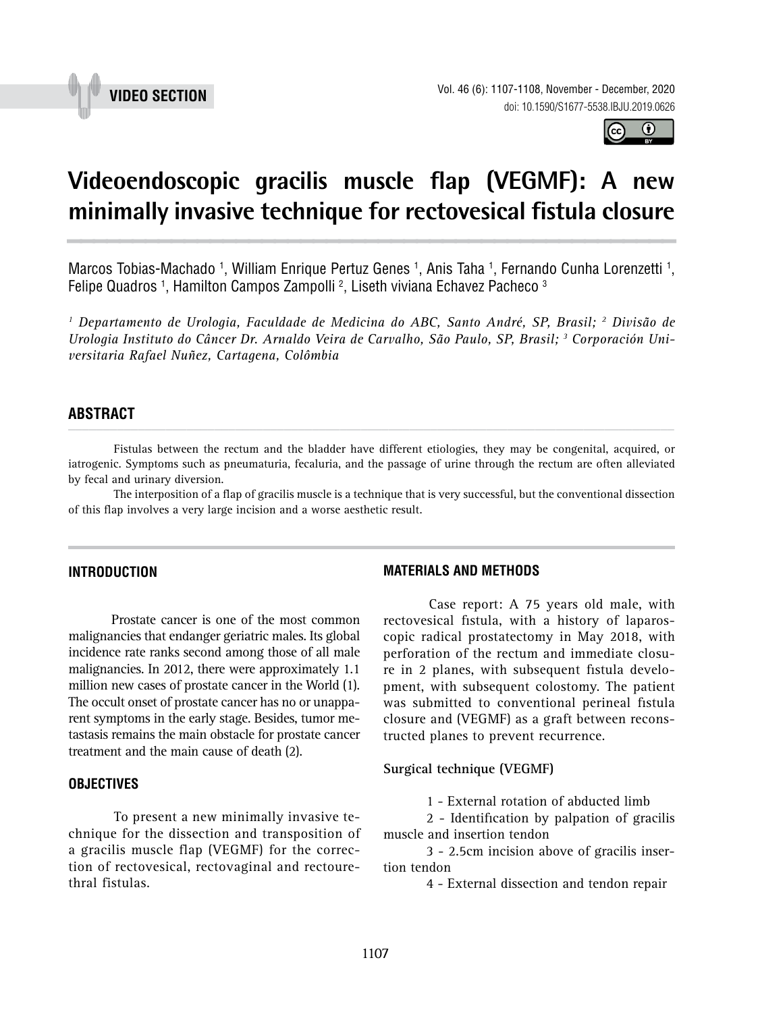



# **Videoendoscopic gracilis muscle flap (VEGMF): A new minimally invasive technique for rectovesical fistula closure \_\_\_\_\_\_\_\_\_\_\_\_\_\_\_\_\_\_\_\_\_\_\_\_\_\_\_\_\_\_\_\_\_\_\_\_\_\_\_\_\_\_\_\_\_\_\_**

Marcos Tobias-Machado <sup>1</sup>, William Enrique Pertuz Genes <sup>1</sup>, Anis Taha <sup>1</sup>, Fernando Cunha Lorenzetti <sup>1</sup>, Felipe Quadros 1, Hamilton Campos Zampolli <sup>2</sup>, Liseth viviana Echavez Pacheco <sup>3</sup>

*1 Departamento de Urologia, Faculdade de Medicina do ABC, Santo André, SP, Brasil; 2 Divisão de Urologia Instituto do Câncer Dr. Arnaldo Veira de Carvalho, São Paulo, SP, Brasil; 3 Corporación Universitaria Rafael Nuñez, Cartagena, Colômbia*

#### **ABSTRACT** *\_\_\_\_\_\_\_\_\_\_\_\_\_\_\_\_\_\_\_\_\_\_\_\_\_\_\_\_\_\_\_\_\_\_\_\_\_\_\_\_\_\_\_\_\_\_\_\_\_\_\_\_\_\_\_\_\_\_\_\_\_\_\_\_\_\_\_\_\_\_\_\_\_\_\_\_\_\_\_\_\_\_\_\_\_\_\_*

Fistulas between the rectum and the bladder have different etiologies, they may be congenital, acquired, or iatrogenic. Symptoms such as pneumaturia, fecaluria, and the passage of urine through the rectum are often alleviated by fecal and urinary diversion.

The interposition of a flap of gracilis muscle is a technique that is very successful, but the conventional dissection of this flap involves a very large incision and a worse aesthetic result*.*

#### **INTRODUCTION**

Prostate cancer is one of the most common malignancies that endanger geriatric males. Its global incidence rate ranks second among those of all male malignancies. In 2012, there were approximately 1.1 million new cases of prostate cancer in the World (1). The occult onset of prostate cancer has no or unapparent symptoms in the early stage. Besides, tumor metastasis remains the main obstacle for prostate cancer treatment and the main cause of death (2).

## **OBJECTIVES**

To present a new minimally invasive technique for the dissection and transposition of a gracilis muscle flap (VEGMF) for the correction of rectovesical, rectovaginal and rectourethral fistulas.

#### **MATERIALS AND METHODS**

Case report: A 75 years old male, with rectovesical fistula, with a history of laparoscopic radical prostatectomy in May 2018, with perforation of the rectum and immediate closure in 2 planes, with subsequent fistula development, with subsequent colostomy. The patient was submitted to conventional perineal fistula closure and (VEGMF) as a graft between reconstructed planes to prevent recurrence.

**Surgical technique (VEGMF)**

1 - External rotation of abducted limb

2 - Identification by palpation of gracilis muscle and insertion tendon

3 - 2.5cm incision above of gracilis insertion tendon

4 - External dissection and tendon repair